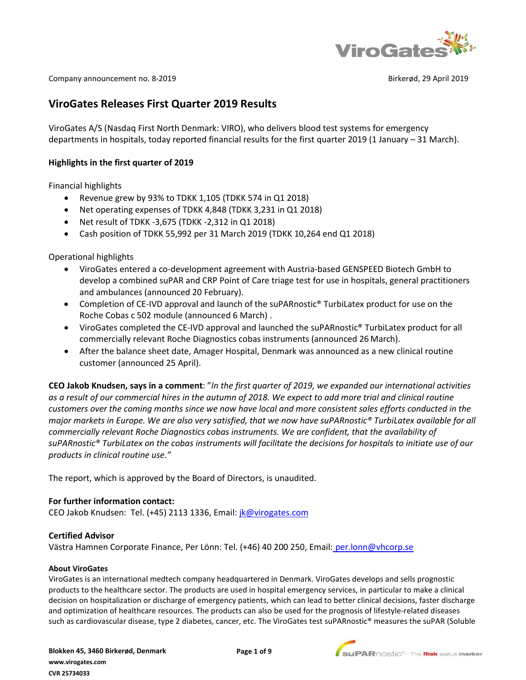

Company announcement no. 8-2019 **Birkerød, 29 April 2019** Birkerød, 29 April 2019

# **ViroGates Releases First Quarter 2019 Results**

ViroGates A/S (Nasdaq First North Denmark: VIRO), who delivers blood test systems for emergency departments in hospitals, today reported financial results for the first quarter 2019 (1 January – 31 March).

### **Highlights in the first quarter of 2019**

Financial highlights

- Revenue grew by 93% to TDKK 1,105 (TDKK 574 in Q1 2018)
- Net operating expenses of TDKK 4,848 (TDKK 3,231 in Q1 2018)
- Net result of TDKK -3,675 (TDKK -2,312 in Q1 2018)
- Cash position of TDKK 55,992 per 31 March 2019 (TDKK 10,264 end Q1 2018)

Operational highlights

- ViroGates entered a co-development agreement with Austria-based GENSPEED Biotech GmbH to develop a combined suPAR and CRP Point of Care triage test for use in hospitals, general practitioners and ambulances (announced 20 February).
- Completion of CE-IVD approval and launch of the suPARnostic® TurbiLatex product for use on the Roche Cobas c 502 module (announced 6 March) .
- ViroGates completed the CE-IVD approval and launched the suPARnostic® TurbiLatex product for all commercially relevant Roche Diagnostics cobas instruments (announced 26 March).
- After the balance sheet date, Amager Hospital, Denmark was announced as a new clinical routine customer (announced 25 April).

**CEO Jakob Knudsen, says in a comment**: "*In the first quarter of 2019, we expanded our international activities as a result of our commercial hires in the autumn of 2018. We expect to add more trial and clinical routine customers over the coming months since we now have local and more consistent sales efforts conducted in the major markets in Europe. We are also very satisfied, that we now have suPARnostic® TurbiLatex available for all commercially relevant Roche Diagnostics cobas instruments. We are confident, that the availability of suPARnostic® TurbiLatex on the cobas instruments will facilitate the decisions for hospitals to initiate use of our products in clinical routine use."* 

The report, which is approved by the Board of Directors, is unaudited.

### **For further information contact:**

CEO Jakob Knudsen: Tel. (+45) 2113 1336, Email: *[jk@virogates.com](mailto:jk@virogates.com)* 

#### **Certified Advisor**

Västra Hamnen Corporate Finance, Per Lönn: Tel. (+46) 40 200 250, Email: [per.lonn@vhcorp.se](mailto:per.lonn@vhcorp.se)

#### **About ViroGates**

ViroGates is an international medtech company headquartered in Denmark. ViroGates develops and sells prognostic products to the healthcare sector. The products are used in hospital emergency services, in particular to make a clinical decision on hospitalization or discharge of emergency patients, which can lead to better clinical decisions, faster discharge and optimization of healthcare resources. The products can also be used for the prognosis of lifestyle-related diseases such as cardiovascular disease, type 2 diabetes, cancer, etc. The ViroGates test suPARnostic® measures the suPAR (Soluble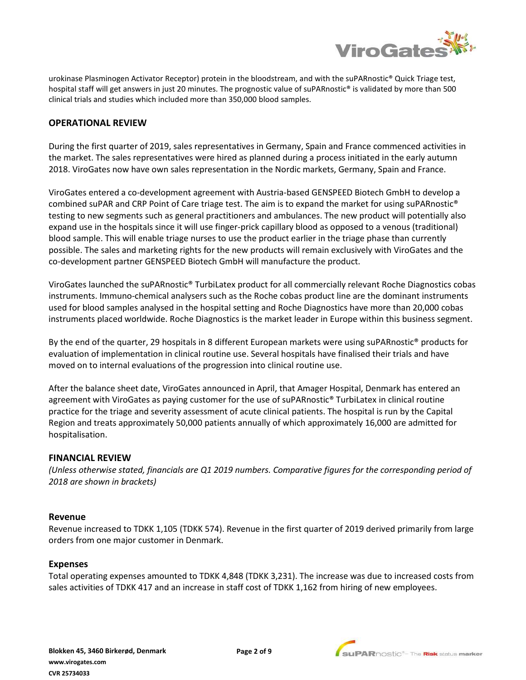

urokinase Plasminogen Activator Receptor) protein in the bloodstream, and with the suPARnostic® Quick Triage test, hospital staff will get answers in just 20 minutes. The prognostic value of suPARnostic® is validated by more than 500 clinical trials and studies which included more than 350,000 blood samples.

# **OPERATIONAL REVIEW**

During the first quarter of 2019, sales representatives in Germany, Spain and France commenced activities in the market. The sales representatives were hired as planned during a process initiated in the early autumn 2018. ViroGates now have own sales representation in the Nordic markets, Germany, Spain and France.

ViroGates entered a co-development agreement with Austria-based GENSPEED Biotech GmbH to develop a combined suPAR and CRP Point of Care triage test. The aim is to expand the market for using suPARnostic® testing to new segments such as general practitioners and ambulances. The new product will potentially also expand use in the hospitals since it will use finger-prick capillary blood as opposed to a venous (traditional) blood sample. This will enable triage nurses to use the product earlier in the triage phase than currently possible. The sales and marketing rights for the new products will remain exclusively with ViroGates and the co-development partner GENSPEED Biotech GmbH will manufacture the product.

ViroGates launched the suPARnostic® TurbiLatex product for all commercially relevant Roche Diagnostics cobas instruments. Immuno-chemical analysers such as the Roche cobas product line are the dominant instruments used for blood samples analysed in the hospital setting and Roche Diagnostics have more than 20,000 cobas instruments placed worldwide. Roche Diagnostics is the market leader in Europe within this business segment.

By the end of the quarter, 29 hospitals in 8 different European markets were using suPARnostic® products for evaluation of implementation in clinical routine use. Several hospitals have finalised their trials and have moved on to internal evaluations of the progression into clinical routine use.

After the balance sheet date, ViroGates announced in April, that Amager Hospital, Denmark has entered an agreement with ViroGates as paying customer for the use of suPARnostic® TurbiLatex in clinical routine practice for the triage and severity assessment of acute clinical patients. The hospital is run by the Capital Region and treats approximately 50,000 patients annually of which approximately 16,000 are admitted for hospitalisation.

### **FINANCIAL REVIEW**

*(Unless otherwise stated, financials are Q1 2019 numbers. Comparative figures for the corresponding period of 2018 are shown in brackets)*

#### **Revenue**

Revenue increased to TDKK 1,105 (TDKK 574). Revenue in the first quarter of 2019 derived primarily from large orders from one major customer in Denmark.

#### **Expenses**

Total operating expenses amounted to TDKK 4,848 (TDKK 3,231). The increase was due to increased costs from sales activities of TDKK 417 and an increase in staff cost of TDKK 1,162 from hiring of new employees.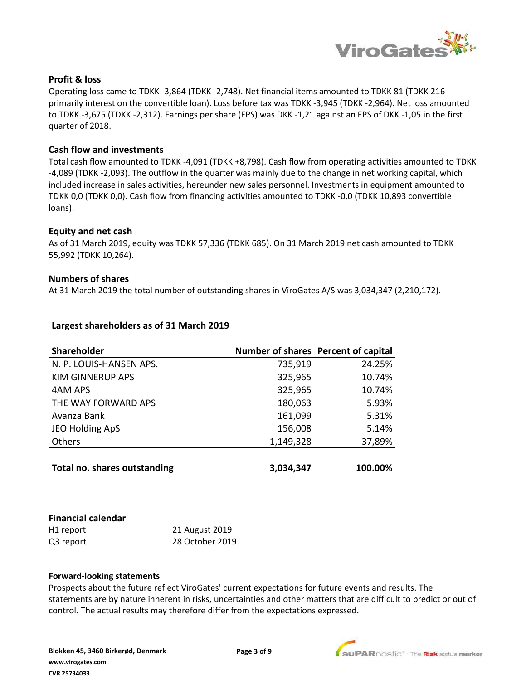

## **Profit & loss**

Operating loss came to TDKK -3,864 (TDKK -2,748). Net financial items amounted to TDKK 81 (TDKK 216 primarily interest on the convertible loan). Loss before tax was TDKK -3,945 (TDKK -2,964). Net loss amounted to TDKK -3,675 (TDKK -2,312). Earnings per share (EPS) was DKK -1,21 against an EPS of DKK -1,05 in the first quarter of 2018.

### **Cash flow and investments**

Total cash flow amounted to TDKK -4,091 (TDKK +8,798). Cash flow from operating activities amounted to TDKK -4,089 (TDKK -2,093). The outflow in the quarter was mainly due to the change in net working capital, which included increase in sales activities, hereunder new sales personnel. Investments in equipment amounted to TDKK 0,0 (TDKK 0,0). Cash flow from financing activities amounted to TDKK -0,0 (TDKK 10,893 convertible loans).

### **Equity and net cash**

As of 31 March 2019, equity was TDKK 57,336 (TDKK 685). On 31 March 2019 net cash amounted to TDKK 55,992 (TDKK 10,264).

### **Numbers of shares**

At 31 March 2019 the total number of outstanding shares in ViroGates A/S was 3,034,347 (2,210,172).

| Shareholder                         | Number of shares Percent of capital |         |
|-------------------------------------|-------------------------------------|---------|
| N. P. LOUIS-HANSEN APS.             | 735,919                             | 24.25%  |
| <b>KIM GINNERUP APS</b>             | 325,965                             | 10.74%  |
| 4AM APS                             | 325,965                             | 10.74%  |
| THE WAY FORWARD APS                 | 180,063                             | 5.93%   |
| Avanza Bank                         | 161,099                             | 5.31%   |
| JEO Holding ApS                     | 156,008                             | 5.14%   |
| <b>Others</b>                       | 1,149,328                           | 37,89%  |
|                                     |                                     |         |
| <b>Total no. shares outstanding</b> | 3,034,347                           | 100.00% |

### **Largest shareholders as of 31 March 2019**

| <b>Financial calendar</b> |                 |
|---------------------------|-----------------|
| H <sub>1</sub> report     | 21 August 2019  |
| Q3 report                 | 28 October 2019 |

#### **Forward-looking statements**

Prospects about the future reflect ViroGates' current expectations for future events and results. The statements are by nature inherent in risks, uncertainties and other matters that are difficult to predict or out of control. The actual results may therefore differ from the expectations expressed.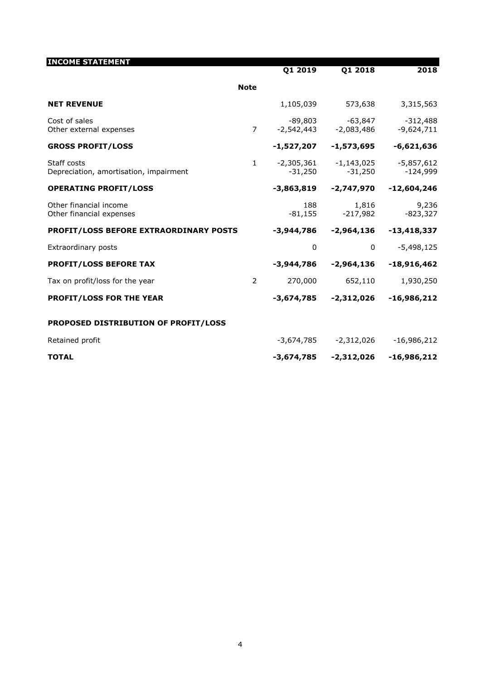| <b>INCOME STATEMENT</b>                               |                | Q1 2019               | Q1 2018                 | 2018                       |
|-------------------------------------------------------|----------------|-----------------------|-------------------------|----------------------------|
|                                                       | <b>Note</b>    |                       |                         |                            |
| <b>NET REVENUE</b>                                    |                | 1,105,039             | 573,638                 | 3,315,563                  |
| Cost of sales<br>Other external expenses              | $\overline{7}$ | -89,803<br>-2,542,443 | -63,847<br>$-2,083,486$ | $-312,488$<br>$-9,624,711$ |
| <b>GROSS PROFIT/LOSS</b>                              |                | -1,527,207            | -1,573,695              | $-6,621,636$               |
| Staff costs<br>Depreciation, amortisation, impairment | $\mathbf{1}$   | -2,305,361<br>-31,250 | -1,143,025<br>$-31,250$ | $-5,857,612$<br>$-124,999$ |
| <b>OPERATING PROFIT/LOSS</b>                          |                | -3,863,819            | -2,747,970              | $-12,604,246$              |
| Other financial income<br>Other financial expenses    |                | 188<br>$-81,155$      | 1,816<br>$-217,982$     | 9,236<br>$-823,327$        |
| <b>PROFIT/LOSS BEFORE EXTRAORDINARY POSTS</b>         |                | $-3,944,786$          | -2,964,136              | $-13,418,337$              |
| Extraordinary posts                                   |                | 0                     | 0                       | $-5,498,125$               |
| <b>PROFIT/LOSS BEFORE TAX</b>                         |                | $-3,944,786$          | $-2,964,136$            | $-18,916,462$              |
| Tax on profit/loss for the year                       | $\overline{2}$ | 270,000               | 652,110                 | 1,930,250                  |
| <b>PROFIT/LOSS FOR THE YEAR</b>                       |                | -3,674,785            | $-2,312,026$            | $-16,986,212$              |
| PROPOSED DISTRIBUTION OF PROFIT/LOSS                  |                |                       |                         |                            |
| Retained profit                                       |                | -3,674,785            | $-2,312,026$            | $-16,986,212$              |
| <b>TOTAL</b>                                          |                | -3,674,785            | -2,312,026              | $-16,986,212$              |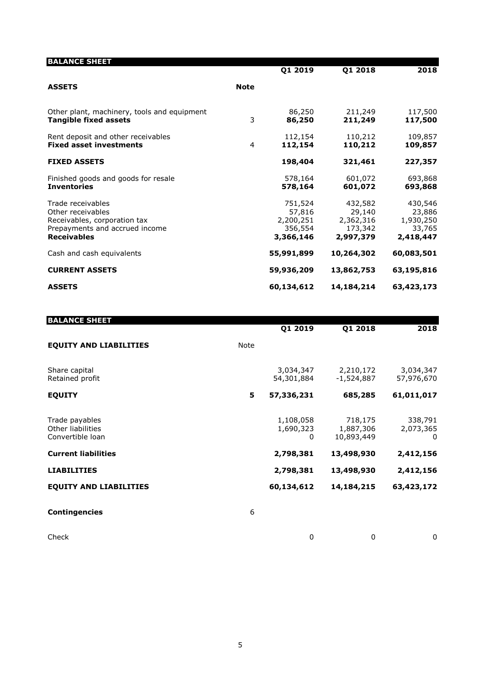| <b>BALANCE SHEET</b>                                                                                                           |             |                                                        |                                                        |                                                       |
|--------------------------------------------------------------------------------------------------------------------------------|-------------|--------------------------------------------------------|--------------------------------------------------------|-------------------------------------------------------|
|                                                                                                                                |             | Q1 2019                                                | Q1 2018                                                | 2018                                                  |
| <b>ASSETS</b>                                                                                                                  | <b>Note</b> |                                                        |                                                        |                                                       |
| Other plant, machinery, tools and equipment<br><b>Tangible fixed assets</b>                                                    | 3           | 86,250<br>86,250                                       | 211,249<br>211,249                                     | 117,500<br>117,500                                    |
| Rent deposit and other receivables<br><b>Fixed asset investments</b>                                                           | 4           | 112,154<br>112,154                                     | 110,212<br>110,212                                     | 109,857<br>109,857                                    |
| <b>FIXED ASSETS</b>                                                                                                            |             | 198,404                                                | 321,461                                                | 227,357                                               |
| Finished goods and goods for resale<br><b>Inventories</b>                                                                      |             | 578,164<br>578,164                                     | 601,072<br>601,072                                     | 693,868<br>693,868                                    |
| Trade receivables<br>Other receivables<br>Receivables, corporation tax<br>Prepayments and accrued income<br><b>Receivables</b> |             | 751,524<br>57,816<br>2,200,251<br>356,554<br>3,366,146 | 432,582<br>29,140<br>2,362,316<br>173,342<br>2,997,379 | 430,546<br>23,886<br>1,930,250<br>33,765<br>2,418,447 |
| Cash and cash equivalents                                                                                                      |             | 55,991,899                                             | 10,264,302                                             | 60,083,501                                            |
| <b>CURRENT ASSETS</b>                                                                                                          |             | 59,936,209                                             | 13,862,753                                             | 63,195,816                                            |
| <b>ASSETS</b>                                                                                                                  |             | 60,134,612                                             | 14,184,214                                             | 63,423,173                                            |

| <b>BALANCE SHEET</b>                                    |      | Q1 2019                     | Q1 2018                            | 2018                      |
|---------------------------------------------------------|------|-----------------------------|------------------------------------|---------------------------|
| <b>EQUITY AND LIABILITIES</b>                           | Note |                             |                                    |                           |
| Share capital<br>Retained profit                        |      | 3,034,347<br>54,301,884     | 2,210,172<br>-1,524,887            | 3,034,347<br>57,976,670   |
| <b>EQUITY</b>                                           | 5    | 57,336,231                  | 685,285                            | 61,011,017                |
| Trade payables<br>Other liabilities<br>Convertible loan |      | 1,108,058<br>1,690,323<br>0 | 718,175<br>1,887,306<br>10,893,449 | 338,791<br>2,073,365<br>0 |
| <b>Current liabilities</b>                              |      | 2,798,381                   | 13,498,930                         | 2,412,156                 |
| <b>LIABILITIES</b>                                      |      | 2,798,381                   | 13,498,930                         | 2,412,156                 |
| <b>EQUITY AND LIABILITIES</b>                           |      | 60,134,612                  | 14,184,215                         | 63,423,172                |
| <b>Contingencies</b>                                    | 6    |                             |                                    |                           |
| Check                                                   |      | 0                           | 0                                  | 0                         |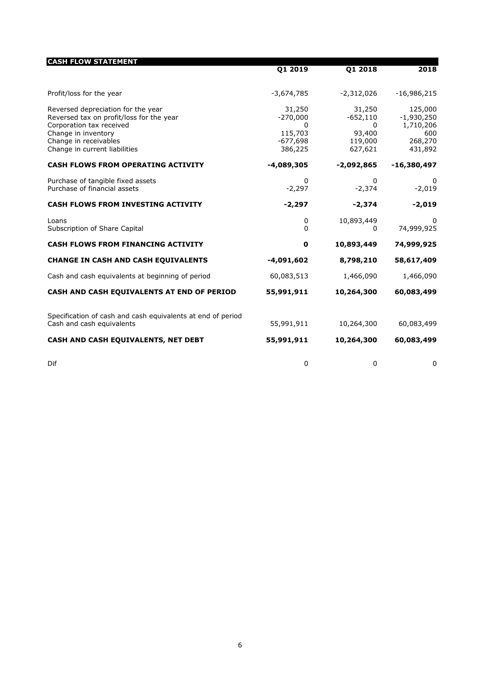| <b>CASH FLOW STATEMENT</b>                                                                                                                                                                  | Q1 2019                                                       | Q1 2018                                                   | 2018                                                              |
|---------------------------------------------------------------------------------------------------------------------------------------------------------------------------------------------|---------------------------------------------------------------|-----------------------------------------------------------|-------------------------------------------------------------------|
| Profit/loss for the year                                                                                                                                                                    | $-3,674,785$                                                  | $-2,312,026$                                              | $-16,986,215$                                                     |
| Reversed depreciation for the year<br>Reversed tax on profit/loss for the year<br>Corporation tax received<br>Change in inventory<br>Change in receivables<br>Change in current liabilities | 31,250<br>$-270,000$<br>0<br>115,703<br>$-677,698$<br>386,225 | 31,250<br>$-652,110$<br>0<br>93,400<br>119,000<br>627,621 | 125,000<br>$-1,930,250$<br>1,710,206<br>600<br>268,270<br>431,892 |
| <b>CASH FLOWS FROM OPERATING ACTIVITY</b>                                                                                                                                                   | $-4,089,305$                                                  | $-2,092,865$                                              | $-16,380,497$                                                     |
| Purchase of tangible fixed assets<br>Purchase of financial assets                                                                                                                           | $\mathbf{0}$<br>$-2,297$                                      | 0<br>$-2,374$                                             | $\Omega$<br>$-2,019$                                              |
| <b>CASH FLOWS FROM INVESTING ACTIVITY</b>                                                                                                                                                   | $-2,297$                                                      | $-2,374$                                                  | $-2,019$                                                          |
| Loans<br>Subscription of Share Capital                                                                                                                                                      | 0<br>$\Omega$                                                 | 10,893,449<br>0                                           | 0<br>74,999,925                                                   |
| <b>CASH FLOWS FROM FINANCING ACTIVITY</b>                                                                                                                                                   | $\mathbf 0$                                                   | 10,893,449                                                | 74,999,925                                                        |
| <b>CHANGE IN CASH AND CASH EQUIVALENTS</b>                                                                                                                                                  | $-4,091,602$                                                  | 8,798,210                                                 | 58,617,409                                                        |
| Cash and cash equivalents at beginning of period                                                                                                                                            | 60,083,513                                                    | 1,466,090                                                 | 1,466,090                                                         |
| CASH AND CASH EQUIVALENTS AT END OF PERIOD                                                                                                                                                  | 55,991,911                                                    | 10,264,300                                                | 60,083,499                                                        |
| Specification of cash and cash equivalents at end of period<br>Cash and cash equivalents                                                                                                    | 55,991,911                                                    | 10,264,300                                                | 60,083,499                                                        |
| CASH AND CASH EQUIVALENTS, NET DEBT                                                                                                                                                         | 55,991,911                                                    | 10,264,300                                                | 60,083,499                                                        |
| Dif                                                                                                                                                                                         | 0                                                             | 0                                                         | 0                                                                 |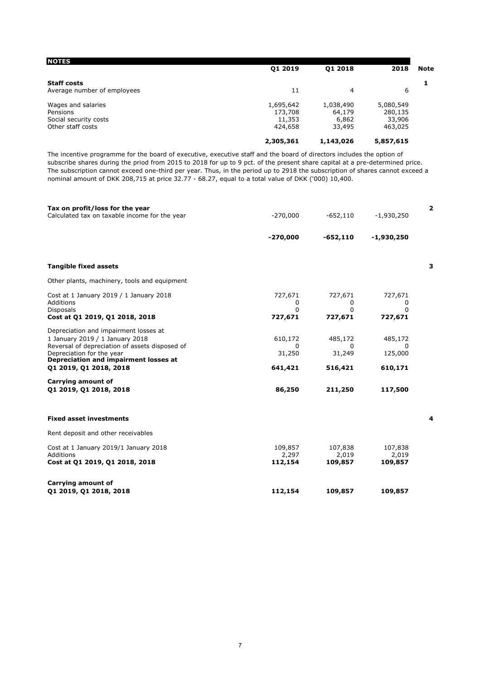| <b>NOTES</b>                | <b>Q1 2019</b> | 01 2018   | 2018      | <b>Note</b> |
|-----------------------------|----------------|-----------|-----------|-------------|
| <b>Staff costs</b>          |                |           |           |             |
| Average number of employees | 11             | 4         | 6         |             |
| Wages and salaries          | 1,695,642      | 1,038,490 | 5,080,549 |             |
| Pensions                    | 173,708        | 64,179    | 280,135   |             |
| Social security costs       | 11,353         | 6,862     | 33,906    |             |
| Other staff costs           | 424,658        | 33,495    | 463,025   |             |
|                             | 2,305,361      | 1,143,026 | 5,857,615 |             |

The incentive programme for the board of executive, executive staff and the board of directors includes the option of subscribe shares during the priod from 2015 to 2018 for up to 9 pct. of the present share capital at a pre-determined price. The subscription cannot exceed one-third per year. Thus, in the period up to 2918 the subscription of shares cannot exceed a nominal amount of DKK 208,715 at price 32.77 - 68.27, equal to a total value of DKK ('000) 10,400.

| Tax on profit/loss for the year<br>Calculated tax on taxable income for the year                                                                                                                 | $-270,000$                    | $-652,110$                    | $-1,930,250$                   | 2 |
|--------------------------------------------------------------------------------------------------------------------------------------------------------------------------------------------------|-------------------------------|-------------------------------|--------------------------------|---|
|                                                                                                                                                                                                  | $-270,000$                    | $-652,110$                    | $-1,930,250$                   |   |
|                                                                                                                                                                                                  |                               |                               |                                |   |
| <b>Tangible fixed assets</b>                                                                                                                                                                     |                               |                               |                                | з |
| Other plants, machinery, tools and equipment                                                                                                                                                     |                               |                               |                                |   |
| Cost at 1 January 2019 / 1 January 2018<br>Additions<br><b>Disposals</b>                                                                                                                         | 727,671<br>0<br>$\Omega$      | 727,671<br>0<br>0             | 727,671<br>0<br>0              |   |
| Cost at Q1 2019, Q1 2018, 2018                                                                                                                                                                   | 727,671                       | 727,671                       | 727,671                        |   |
| Depreciation and impairment losses at<br>1 January 2019 / 1 January 2018<br>Reversal of depreciation of assets disposed of<br>Depreciation for the year<br>Depreciation and impairment losses at | 610,172<br>$\Omega$<br>31,250 | 485,172<br>$\Omega$<br>31,249 | 485,172<br>$\Omega$<br>125,000 |   |
| Q1 2019, Q1 2018, 2018                                                                                                                                                                           | 641,421                       | 516,421                       | 610,171                        |   |
| Carrying amount of<br>01 2019, 01 2018, 2018                                                                                                                                                     | 86,250                        | 211,250                       | 117,500                        |   |
| <b>Fixed asset investments</b>                                                                                                                                                                   |                               |                               |                                | 4 |
| Rent deposit and other receivables                                                                                                                                                               |                               |                               |                                |   |
| Cost at 1 January 2019/1 January 2018<br>Additions<br>Cost at Q1 2019, Q1 2018, 2018                                                                                                             | 109,857<br>2,297<br>112,154   | 107,838<br>2,019<br>109,857   | 107,838<br>2,019<br>109,857    |   |
| Carrying amount of<br>01 2019, 01 2018, 2018                                                                                                                                                     | 112,154                       | 109,857                       | 109,857                        |   |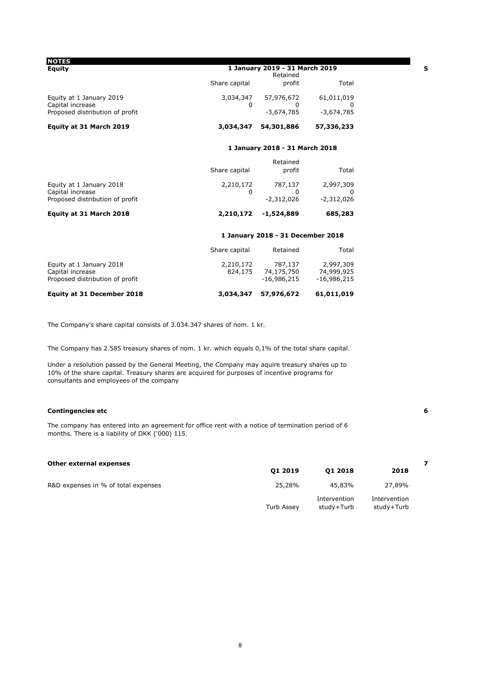| <b>NOTES</b><br>Equity                                                          | 1 January 2019 - 31 March 2019<br>Retained |                                   |                                 | 5 |
|---------------------------------------------------------------------------------|--------------------------------------------|-----------------------------------|---------------------------------|---|
|                                                                                 | Share capital                              | profit                            | Total                           |   |
| Equity at 1 January 2019<br>Capital increase<br>Proposed distribution of profit | 3,034,347<br>0                             | 57,976,672<br>0<br>$-3,674,785$   | 61,011,019<br>0<br>$-3,674,785$ |   |
| Equity at 31 March 2019                                                         | 3,034,347                                  | 54,301,886                        | 57,336,233                      |   |
|                                                                                 |                                            | 1 January 2018 - 31 March 2018    |                                 |   |
|                                                                                 |                                            | Retained                          |                                 |   |
|                                                                                 | Share capital                              | profit                            | Total                           |   |
| Equity at 1 January 2018                                                        | 2,210,172                                  | 787,137                           | 2,997,309                       |   |
| Capital increase                                                                | 0                                          | 0                                 | 0                               |   |
| Proposed distribution of profit                                                 |                                            | $-2.312.026$                      | $-2.312.026$                    |   |
| Equity at 31 March 2018                                                         | 2,210,172                                  | $-1,524,889$                      | 685,283                         |   |
|                                                                                 |                                            | 1 January 2018 - 31 December 2018 |                                 |   |
|                                                                                 | Share capital                              | Retained                          | Total                           |   |
| Equity at 1 January 2018                                                        | 2,210,172                                  | 787,137                           | 2,997,309                       |   |
| Capital increase                                                                | 824,175                                    | 74,175,750 74,999,925             |                                 |   |
| Proposed distribution of profit                                                 |                                            | -16,986,215                       | $-16,986,215$                   |   |
| <b>Equity at 31 December 2018</b>                                               | 3,034,347                                  | 57,976,672                        | 61,011,019                      |   |

The Company's share capital consists of 3.034.347 shares of nom. 1 kr.

The Company has 2.585 treasury shares of nom. 1 kr. which equals 0,1% of the total share capital.

Under a resolution passed by the General Meeting, the Company may aquire treasury shares up to 10% of the share capital. Treasury shares are acquired for purposes of incentive programs for consultants and employees of the company

#### **Contingencies etc 6**

The company has entered into an agreement for office rent with a notice of termination period of 6 months. There is a liability of DKK ('000) 115.

| Other external expenses             |            |                            |                            |  |
|-------------------------------------|------------|----------------------------|----------------------------|--|
|                                     | 01 2019    | 01 2018                    | 2018                       |  |
| R&D expenses in % of total expenses | 25,28%     | 45,83%                     | 27,89%                     |  |
|                                     | Turb Assey | Intervention<br>study+Turb | Intervention<br>study+Turb |  |